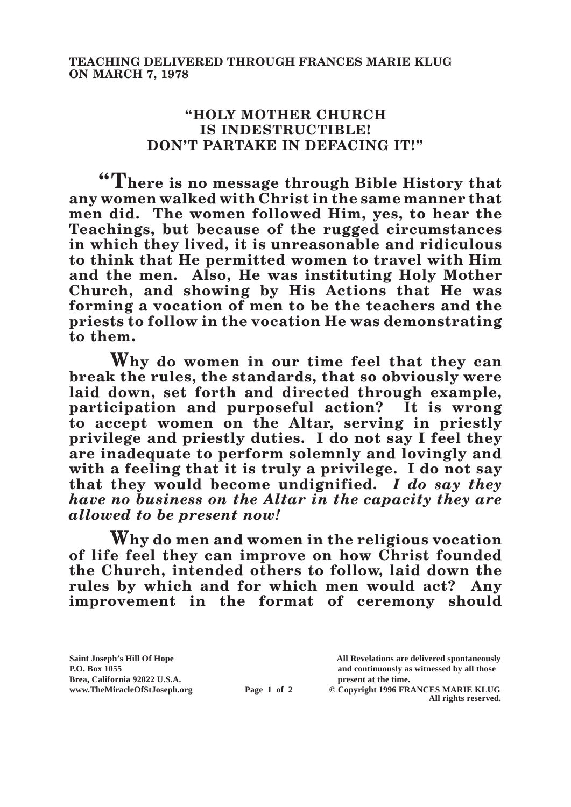## **"HOLY MOTHER CHURCH IS INDESTRUCTIBLE! DON'T PARTAKE IN DEFACING IT!"**

**"There is no message through Bible History that any women walked with Christ in the same manner that men did. The women followed Him, yes, to hear the Teachings, but because of the rugged circumstances in which they lived, it is unreasonable and ridiculous to think that He permitted women to travel with Him and the men. Also, He was instituting Holy Mother Church, and showing by His Actions that He was forming a vocation of men to be the teachers and the priests to follow in the vocation He was demonstrating to them.**

**Why do women in our time feel that they can break the rules, the standards, that so obviously were laid down, set forth and directed through example, participation and purposeful action? It is wrong to accept women on the Altar, serving in priestly privilege and priestly duties. I do not say I feel they are inadequate to perform solemnly and lovingly and with a feeling that it is truly a privilege. I do not say that they would become undignified.** *I do say they have no business on the Altar in the capacity they are allowed to be present now!*

**Why do men and women in the religious vocation of life feel they can improve on how Christ founded the Church, intended others to follow, laid down the rules by which and for which men would act? Any improvement in the format of ceremony should** 

**Brea, California 92822 U.S.A. present at the time.**<br> **Page 1 of 2** © Copyright 1996 FR.

**Saint Joseph's Hill Of Hope All Revelations are delivered spontaneously P.O. Box 1055 and continuously as witnessed by all those** 

**Page 1 of 2** © Copyright 1996 FRANCES MARIE KLUG **All rights reserved.**